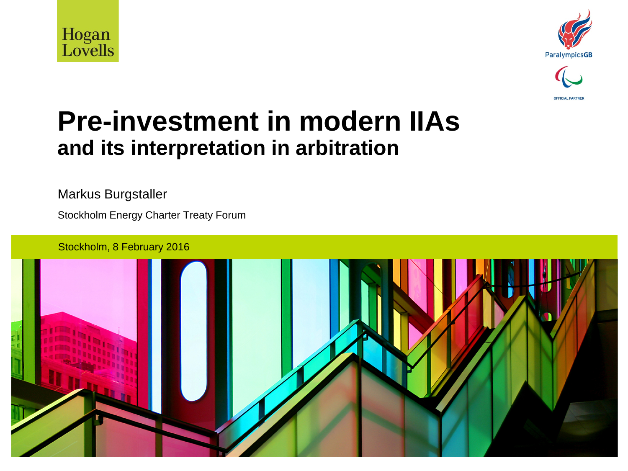





#### **Pre-investment in modern IIAs and its interpretation in arbitration**

Markus Burgstaller

Stockholm Energy Charter Treaty Forum

Stockholm, 8 February 2016

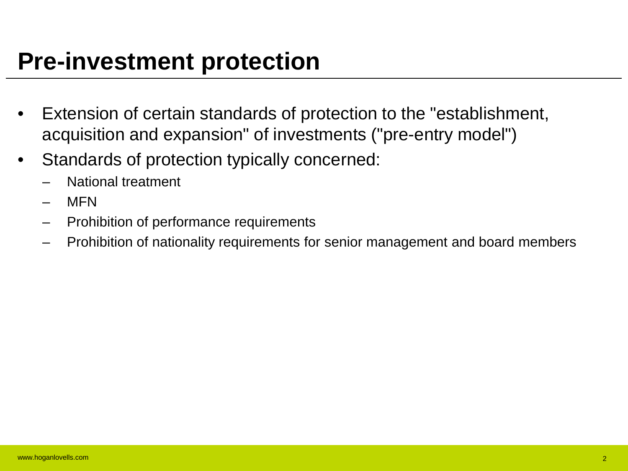#### **Pre-investment protection**

- Extension of certain standards of protection to the "establishment, acquisition and expansion" of investments ("pre-entry model")
- Standards of protection typically concerned:
	- National treatment
	- MFN
	- Prohibition of performance requirements
	- Prohibition of nationality requirements for senior management and board members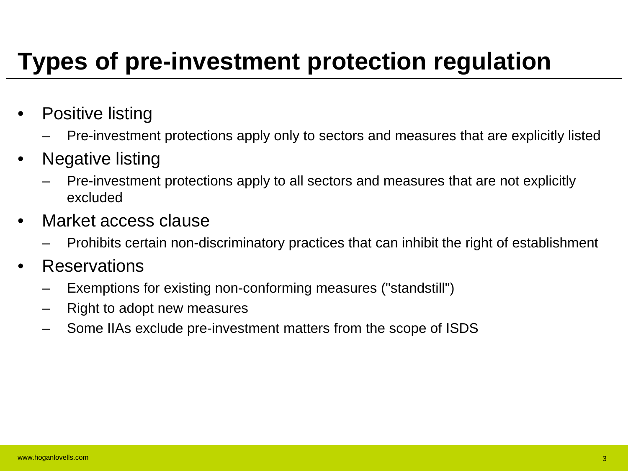# **Types of pre-investment protection regulation**

- Positive listing
	- Pre-investment protections apply only to sectors and measures that are explicitly listed
- Negative listing
	- Pre-investment protections apply to all sectors and measures that are not explicitly excluded
- Market access clause
	- Prohibits certain non-discriminatory practices that can inhibit the right of establishment
- Reservations
	- Exemptions for existing non-conforming measures ("standstill")
	- Right to adopt new measures
	- Some IIAs exclude pre-investment matters from the scope of ISDS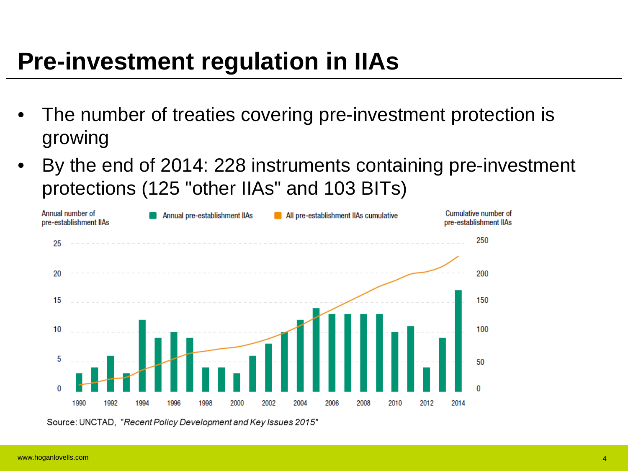## **Pre-investment regulation in IIAs**

- The number of treaties covering pre-investment protection is growing
- By the end of 2014: 228 instruments containing pre-investment protections (125 "other IIAs" and 103 BITs)



Source: UNCTAD, "Recent Policy Development and Key Issues 2015"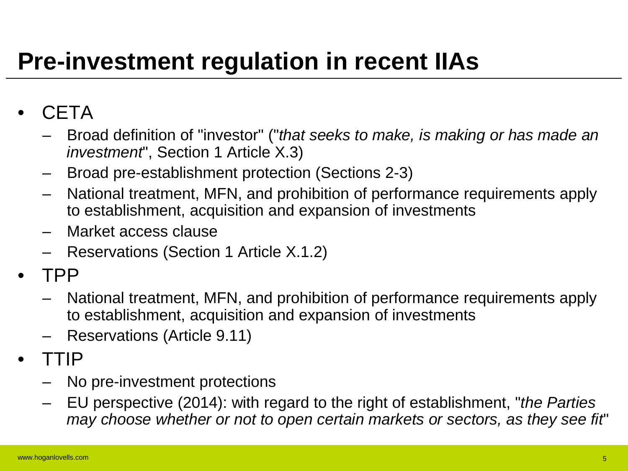# **Pre-investment regulation in recent IIAs**

#### • CETA

- Broad definition of "investor" ("*that seeks to make, is making or has made an investment*", Section 1 Article X.3)
- Broad pre-establishment protection (Sections 2-3)
- National treatment, MFN, and prohibition of performance requirements apply to establishment, acquisition and expansion of investments
- Market access clause
- Reservations (Section 1 Article X.1.2)
- TPP
	- National treatment, MFN, and prohibition of performance requirements apply to establishment, acquisition and expansion of investments
	- Reservations (Article 9.11)
- TTIP
	- No pre-investment protections
	- EU perspective (2014): with regard to the right of establishment, "*the Parties may choose whether or not to open certain markets or sectors, as they see fit*"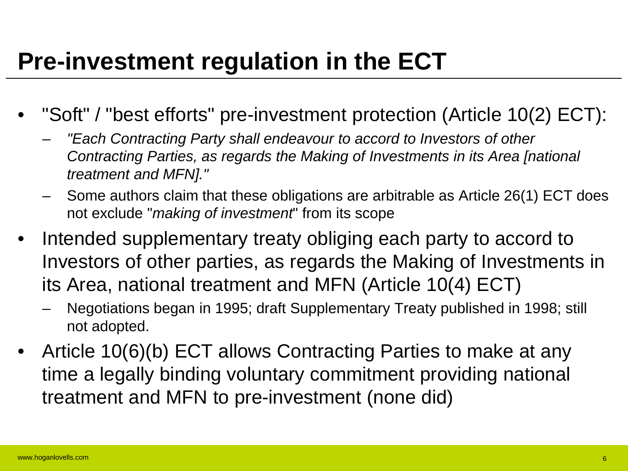## **Pre-investment regulation in the ECT**

- "Soft" / "best efforts" pre-investment protection (Article 10(2) ECT):
	- *"Each Contracting Party shall endeavour to accord to Investors of other Contracting Parties, as regards the Making of Investments in its Area [national treatment and MFN]."*
	- Some authors claim that these obligations are arbitrable as Article 26(1) ECT does not exclude "*making of investment*" from its scope
- Intended supplementary treaty obliging each party to accord to Investors of other parties, as regards the Making of Investments in its Area, national treatment and MFN (Article 10(4) ECT)
	- Negotiations began in 1995; draft Supplementary Treaty published in 1998; still not adopted.
- Article 10(6)(b) ECT allows Contracting Parties to make at any time a legally binding voluntary commitment providing national treatment and MFN to pre-investment (none did)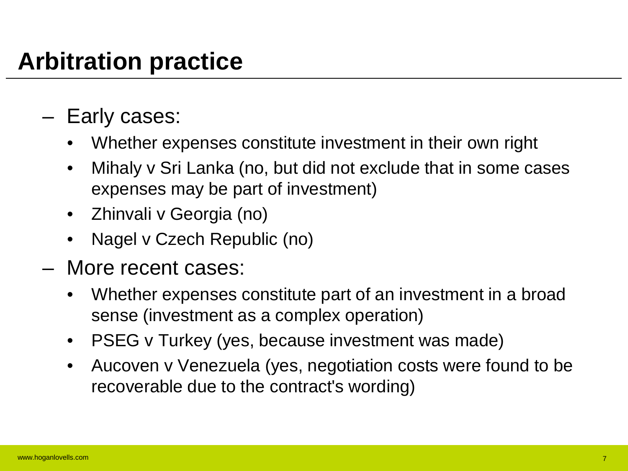# **Arbitration practice**

- Early cases:
	- Whether expenses constitute investment in their own right
	- Mihaly v Sri Lanka (no, but did not exclude that in some cases expenses may be part of investment)
	- Zhinvali v Georgia (no)
	- Nagel v Czech Republic (no)
- More recent cases:
	- Whether expenses constitute part of an investment in a broad sense (investment as a complex operation)
	- PSEG v Turkey (yes, because investment was made)
	- Aucoven v Venezuela (yes, negotiation costs were found to be recoverable due to the contract's wording)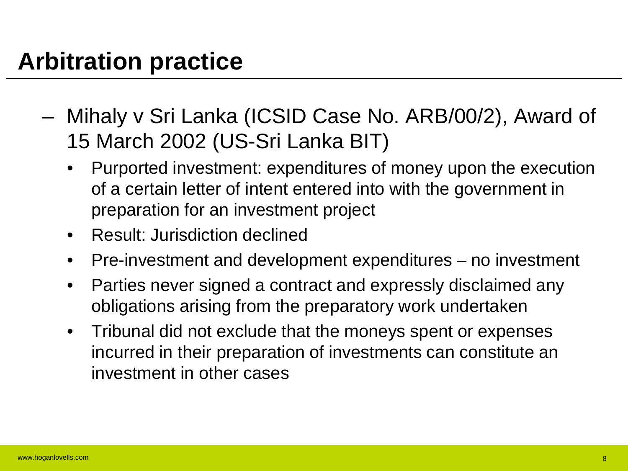## **Arbitration practice**

- Mihaly v Sri Lanka (ICSID Case No. ARB/00/2), Award of 15 March 2002 (US-Sri Lanka BIT)
	- Purported investment: expenditures of money upon the execution of a certain letter of intent entered into with the government in preparation for an investment project
	- Result: Jurisdiction declined
	- Pre-investment and development expenditures no investment
	- Parties never signed a contract and expressly disclaimed any obligations arising from the preparatory work undertaken
	- Tribunal did not exclude that the moneys spent or expenses incurred in their preparation of investments can constitute an investment in other cases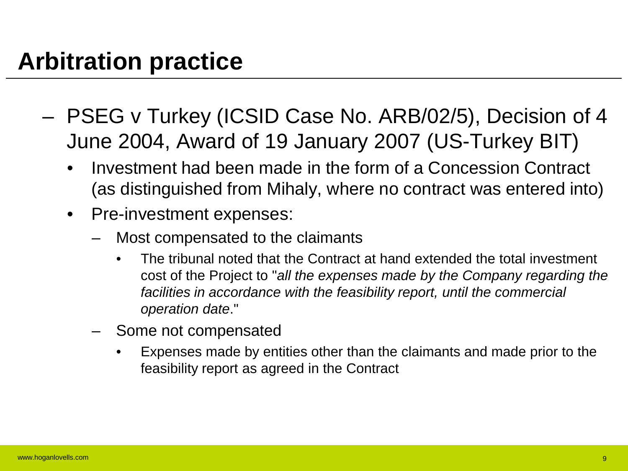- PSEG v Turkey (ICSID Case No. ARB/02/5), Decision of 4 June 2004, Award of 19 January 2007 (US-Turkey BIT)
	- Investment had been made in the form of a Concession Contract (as distinguished from Mihaly, where no contract was entered into)
	- Pre-investment expenses:
		- Most compensated to the claimants
			- The tribunal noted that the Contract at hand extended the total investment cost of the Project to "*all the expenses made by the Company regarding the facilities in accordance with the feasibility report, until the commercial operation date*."
		- Some not compensated
			- Expenses made by entities other than the claimants and made prior to the feasibility report as agreed in the Contract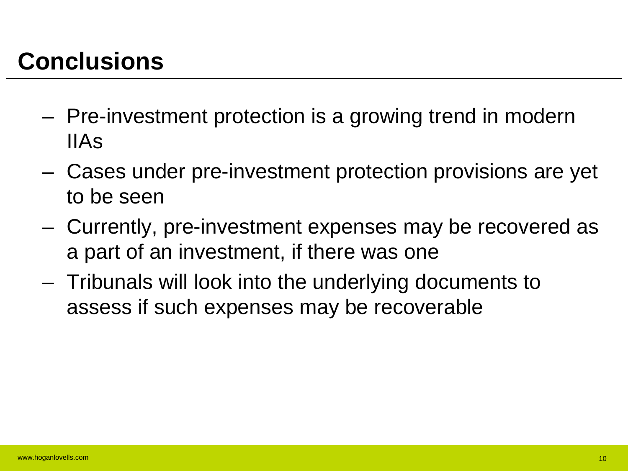# **Conclusions**

- Pre-investment protection is a growing trend in modern IIAs
- Cases under pre-investment protection provisions are yet to be seen
- Currently, pre-investment expenses may be recovered as a part of an investment, if there was one
- Tribunals will look into the underlying documents to assess if such expenses may be recoverable